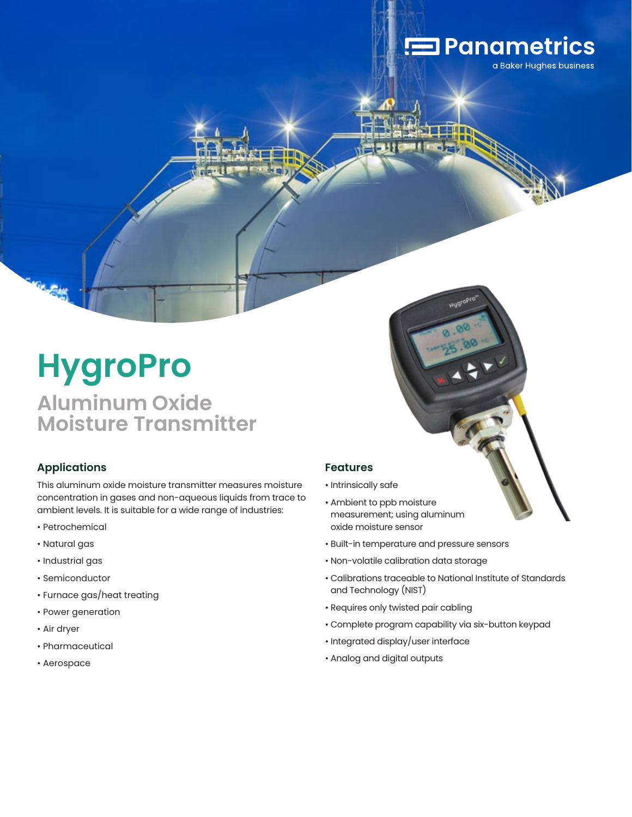# **Panametrics**

a Baker Hughes business

# **HygroPro**

## **Aluminum Oxide Moisture Transmitter**

#### **Applications**

This aluminum oxide moisture transmitter measures moisture concentration in gases and non-aqueous liquids from trace to ambient levels. It is suitable for a wide range of industries:

- Petrochemical
- Natural gas
- Industrial gas
- Semiconductor
- Furnace gas/heat treating
- Power generation
- Air dryer
- Pharmaceutical
- Aerospace

#### **Features**

- Intrinsically safe
- Ambient to ppb moisture measurement; using aluminum oxide moisture sensor
- Built-in temperature and pressure sensors
- Non-volatile calibration data storage
- Calibrations traceable to National Institute of Standards and Technology (NIST)
- Requires only twisted pair cabling
- Complete program capability via six-button keypad
- Integrated display/user interface
- Analog and digital outputs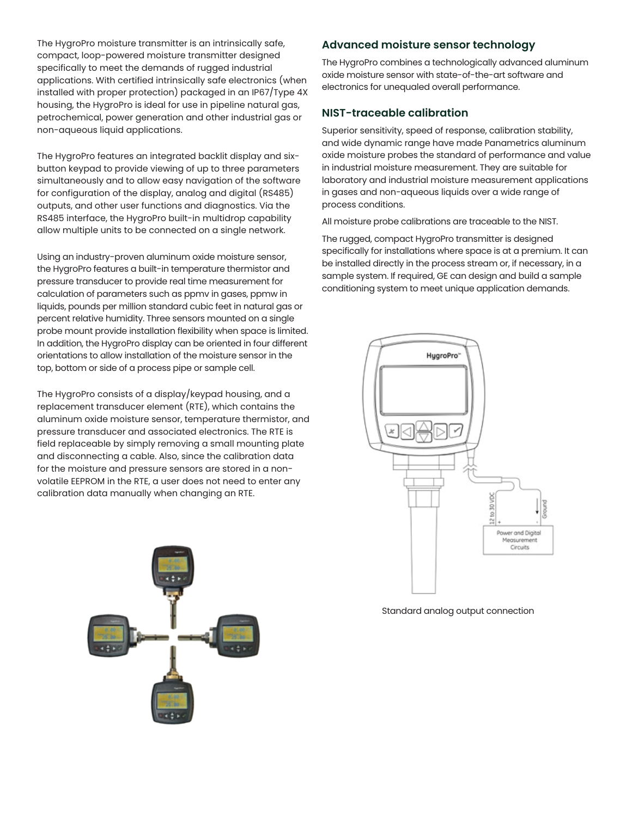The HygroPro moisture transmitter is an intrinsically safe, compact, loop-powered moisture transmitter designed specifically to meet the demands of rugged industrial applications. With certified intrinsically safe electronics (when installed with proper protection) packaged in an IP67/Type 4X housing, the HygroPro is ideal for use in pipeline natural gas, petrochemical, power generation and other industrial gas or non-aqueous liquid applications.

The HygroPro features an integrated backlit display and sixbutton keypad to provide viewing of up to three parameters simultaneously and to allow easy navigation of the software for configuration of the display, analog and digital (RS485) outputs, and other user functions and diagnostics. Via the RS485 interface, the HygroPro built-in multidrop capability allow multiple units to be connected on a single network.

Using an industry-proven aluminum oxide moisture sensor, the HygroPro features a built-in temperature thermistor and pressure transducer to provide real time measurement for calculation of parameters such as ppmv in gases, ppmw in liquids, pounds per million standard cubic feet in natural gas or percent relative humidity. Three sensors mounted on a single probe mount provide installation flexibility when space is limited. In addition, the HygroPro display can be oriented in four different orientations to allow installation of the moisture sensor in the top, bottom or side of a process pipe or sample cell.

The HygroPro consists of a display/keypad housing, and a replacement transducer element (RTE), which contains the aluminum oxide moisture sensor, temperature thermistor, and pressure transducer and associated electronics. The RTE is field replaceable by simply removing a small mounting plate and disconnecting a cable. Also, since the calibration data for the moisture and pressure sensors are stored in a nonvolatile EEPROM in the RTE, a user does not need to enter any calibration data manually when changing an RTE.



#### **Advanced moisture sensor technology**

The HygroPro combines a technologically advanced aluminum oxide moisture sensor with state-of-the-art software and electronics for unequaled overall performance.

#### **NIST-traceable calibration**

Superior sensitivity, speed of response, calibration stability, and wide dynamic range have made Panametrics aluminum oxide moisture probes the standard of performance and value in industrial moisture measurement. They are suitable for laboratory and industrial moisture measurement applications in gases and non-aqueous liquids over a wide range of process conditions.

All moisture probe calibrations are traceable to the NIST.

The rugged, compact HygroPro transmitter is designed specifically for installations where space is at a premium. It can be installed directly in the process stream or, if necessary, in a sample system. If required, GE can design and build a sample conditioning system to meet unique application demands.



Standard analog output connection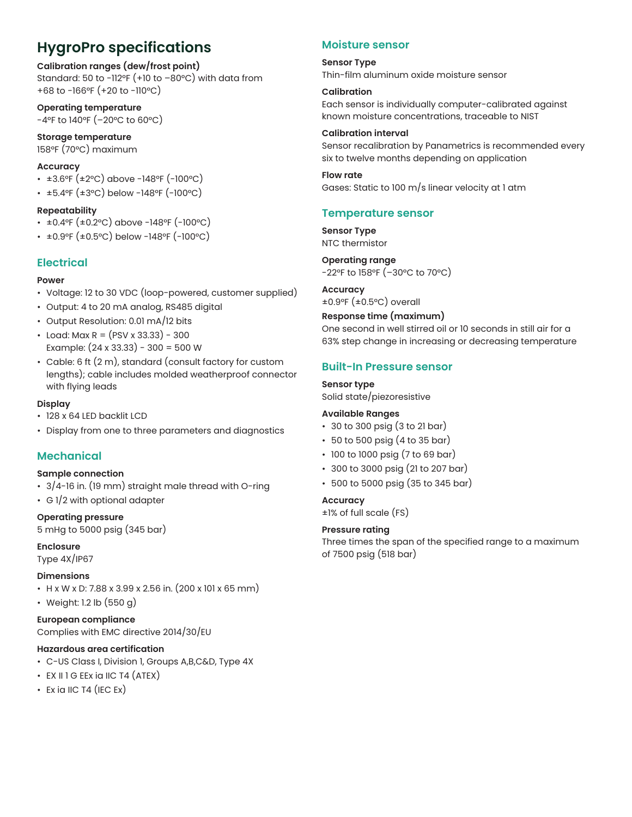## **HygroPro specifications**

#### **Calibration ranges (dew/frost point)**

Standard: 50 to -112°F (+10 to -80°C) with data from +68 to -166°F (+20 to -110°C)

**Operating temperature** -4°F to 140°F (–20°C to 60°C)

**Storage temperature** 158°F (70°C) maximum

#### **Accuracy**

- ±3.6°F (±2°C) above -148°F (-100°C)
- ±5.4°F (±3°C) below -148°F (-100°C)

#### **Repeatability**

- ±0.4°F (±0.2°C) above -148°F (-100°C)
- ±0.9°F (±0.5°C) below -148°F (-100°C)

#### **Electrical**

#### **Power**

- Voltage: 12 to 30 VDC (loop-powered, customer supplied)
- Output: 4 to 20 mA analog, RS485 digital
- Output Resolution: 0.01 mA/12 bits
- Load: Max R =  $(PSV \times 33.33) 300$ Example: (24 x 33.33) - 300 = 500 W
- Cable: 6 ft (2 m), standard (consult factory for custom lengths); cable includes molded weatherproof connector with flying leads

#### **Display**

- 128 x 64 LED backlit LCD
- Display from one to three parameters and diagnostics

#### **Mechanical**

#### **Sample connection**

- 3/4-16 in. (19 mm) straight male thread with O-ring
- G 1/2 with optional adapter

**Operating pressure**

### 5 mHg to 5000 psig (345 bar)

#### **Enclosure**

#### Type 4X/IP67

#### **Dimensions**

- H x W x D: 7.88 x 3.99 x 2.56 in. (200 x 101 x 65 mm)
- Weight: 1.2 lb (550 g)

#### **European compliance**

Complies with EMC directive 2014/30/EU

#### **Hazardous area certification**

- C-US Class I, Division 1, Groups A,B,C&D, Type 4X
- EX II 1 G EEx ia IIC T4 (ATEX)
- $\cdot$  Ex ia IIC T4 (IEC Ex)

#### **Moisture sensor**

#### **Sensor Type** Thin-film aluminum oxide moisture sensor

#### **Calibration**

Each sensor is individually computer-calibrated against known moisture concentrations, traceable to NIST

#### **Calibration interval**

Sensor recalibration by Panametrics is recommended every six to twelve months depending on application

**Flow rate** Gases: Static to 100 m/s linear velocity at 1 atm

#### **Temperature sensor**

**Sensor Type** NTC thermistor

**Operating range** -22°F to 158°F (–30°C to 70°C)

**Accuracy** ±0.9°F (±0.5°C) overall

#### **Response time (maximum)**

One second in well stirred oil or 10 seconds in still air for a 63% step change in increasing or decreasing temperature

#### **Built-In Pressure sensor**

**Sensor type** Solid state/piezoresistive

#### **Available Ranges**

- 30 to 300 psig (3 to 21 bar)
- 50 to 500 psig (4 to 35 bar)
- 100 to 1000 psig (7 to 69 bar)
- 300 to 3000 psig (21 to 207 bar)
- 500 to 5000 psig (35 to 345 bar)

#### **Accuracy**

±1% of full scale (FS)

#### **Pressure rating**

Three times the span of the specified range to a maximum of 7500 psig (518 bar)